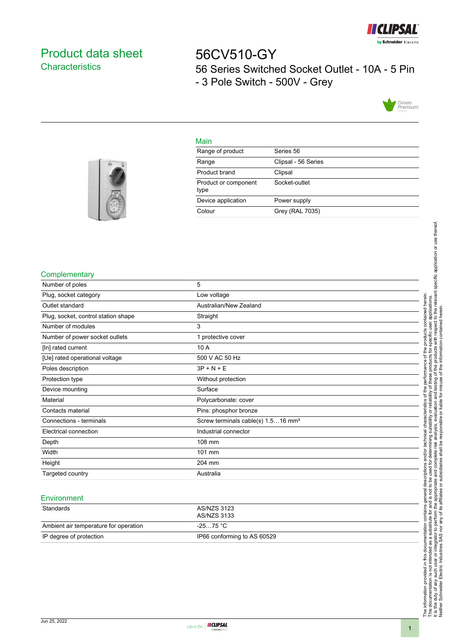

# <span id="page-0-0"></span>Product data sheet **Characteristics**

56CV510-GY 56 Series Switched Socket Outlet - 10A - 5 Pin - 3 Pole Switch - 500V - Grey



### Main

| Range of product             | Series 56           |
|------------------------------|---------------------|
| Range                        | Clipsal - 56 Series |
| Product brand                | Clipsal             |
| Product or component<br>type | Socket-outlet       |
| Device application           | Power supply        |
| Colour                       | Grey (RAL 7035)     |
|                              |                     |



### **Complementary**

| Number of poles                     | 5                                              |
|-------------------------------------|------------------------------------------------|
| Plug, socket category               | Low voltage                                    |
| Outlet standard                     | Australian/New Zealand                         |
| Plug, socket, control station shape | Straight                                       |
| Number of modules                   | 3                                              |
| Number of power socket outlets      | 1 protective cover                             |
| [In] rated current                  | 10 A                                           |
| [Ue] rated operational voltage      | 500 V AC 50 Hz                                 |
| Poles description                   | $3P + N + E$                                   |
| Protection type                     | Without protection                             |
| Device mounting                     | Surface                                        |
| Material                            | Polycarbonate: cover                           |
| Contacts material                   | Pins: phosphor bronze                          |
| Connections - terminals             | Screw terminals cable(s) 1.516 mm <sup>2</sup> |
| Electrical connection               | Industrial connector                           |
| Depth                               | 108 mm                                         |
| Width                               | 101 mm                                         |
| Height                              | 204 mm                                         |
| Targeted country                    | Australia                                      |
|                                     |                                                |

#### **Environment**

| Standards                             | AS/NZS 3123<br>AS/NZS 3133  |
|---------------------------------------|-----------------------------|
| Ambient air temperature for operation | -25…75 °C                   |
| IP degree of protection               | IP66 conforming to AS 60529 |